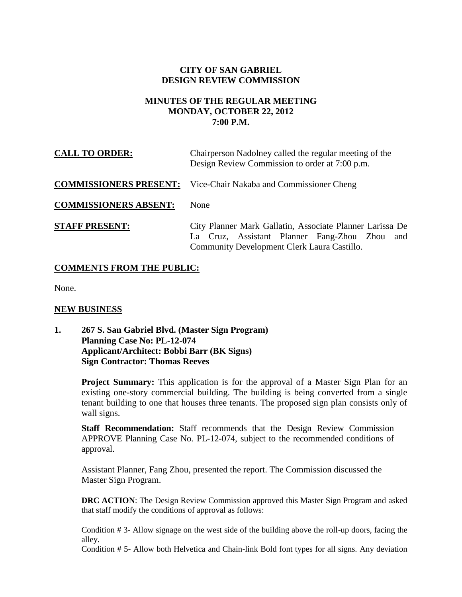# **CITY OF SAN GABRIEL DESIGN REVIEW COMMISSION**

## **MINUTES OF THE REGULAR MEETING MONDAY, OCTOBER 22, 2012 7:00 P.M.**

| <b>CALL TO ORDER:</b>         | Chairperson Nadolney called the regular meeting of the<br>Design Review Commission to order at 7:00 p.m.                                                 |
|-------------------------------|----------------------------------------------------------------------------------------------------------------------------------------------------------|
| <b>COMMISSIONERS PRESENT:</b> | Vice-Chair Nakaba and Commissioner Cheng                                                                                                                 |
| <b>COMMISSIONERS ABSENT:</b>  | None                                                                                                                                                     |
| <b>STAFF PRESENT:</b>         | City Planner Mark Gallatin, Associate Planner Larissa De<br>La Cruz, Assistant Planner Fang-Zhou Zhou and<br>Community Development Clerk Laura Castillo. |

#### **COMMENTS FROM THE PUBLIC:**

None.

#### **NEW BUSINESS**

**1. 267 S. San Gabriel Blvd. (Master Sign Program) Planning Case No: PL-12-074 Applicant/Architect: Bobbi Barr (BK Signs) Sign Contractor: Thomas Reeves**

> **Project Summary:** This application is for the approval of a Master Sign Plan for an existing one-story commercial building. The building is being converted from a single tenant building to one that houses three tenants. The proposed sign plan consists only of wall signs.

**Staff Recommendation:** Staff recommends that the Design Review Commission APPROVE Planning Case No. PL-12-074, subject to the recommended conditions of approval.

Assistant Planner, Fang Zhou, presented the report. The Commission discussed the Master Sign Program.

**DRC ACTION:** The Design Review Commission approved this Master Sign Program and asked that staff modify the conditions of approval as follows:

Condition # 3- Allow signage on the west side of the building above the roll-up doors, facing the alley.

Condition # 5- Allow both Helvetica and Chain-link Bold font types for all signs. Any deviation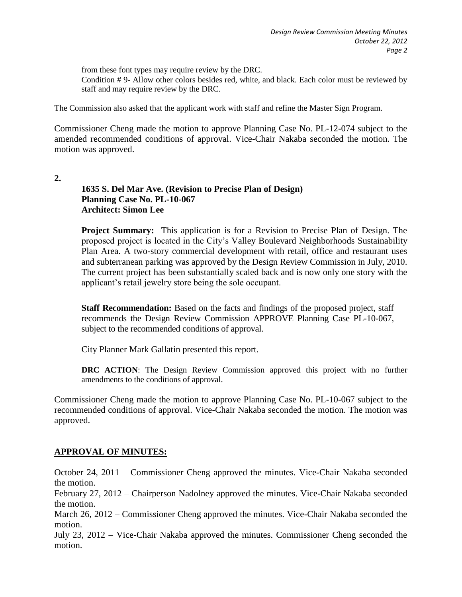from these font types may require review by the DRC.

Condition # 9- Allow other colors besides red, white, and black. Each color must be reviewed by staff and may require review by the DRC.

The Commission also asked that the applicant work with staff and refine the Master Sign Program.

Commissioner Cheng made the motion to approve Planning Case No. PL-12-074 subject to the amended recommended conditions of approval. Vice-Chair Nakaba seconded the motion. The motion was approved.

**2.**

## **1635 S. Del Mar Ave. (Revision to Precise Plan of Design) Planning Case No. PL-10-067 Architect: Simon Lee**

**Project Summary:** This application is for a Revision to Precise Plan of Design. The proposed project is located in the City's Valley Boulevard Neighborhoods Sustainability Plan Area. A two-story commercial development with retail, office and restaurant uses and subterranean parking was approved by the Design Review Commission in July, 2010. The current project has been substantially scaled back and is now only one story with the applicant's retail jewelry store being the sole occupant.

**Staff Recommendation:** Based on the facts and findings of the proposed project, staff recommends the Design Review Commission APPROVE Planning Case PL-10-067, subject to the recommended conditions of approval.

City Planner Mark Gallatin presented this report.

**DRC ACTION**: The Design Review Commission approved this project with no further amendments to the conditions of approval.

Commissioner Cheng made the motion to approve Planning Case No. PL-10-067 subject to the recommended conditions of approval. Vice-Chair Nakaba seconded the motion. The motion was approved.

# **APPROVAL OF MINUTES:**

October 24, 2011 – Commissioner Cheng approved the minutes. Vice-Chair Nakaba seconded the motion.

February 27, 2012 – Chairperson Nadolney approved the minutes. Vice-Chair Nakaba seconded the motion.

March 26, 2012 – Commissioner Cheng approved the minutes. Vice-Chair Nakaba seconded the motion.

July 23, 2012 – Vice-Chair Nakaba approved the minutes. Commissioner Cheng seconded the motion.